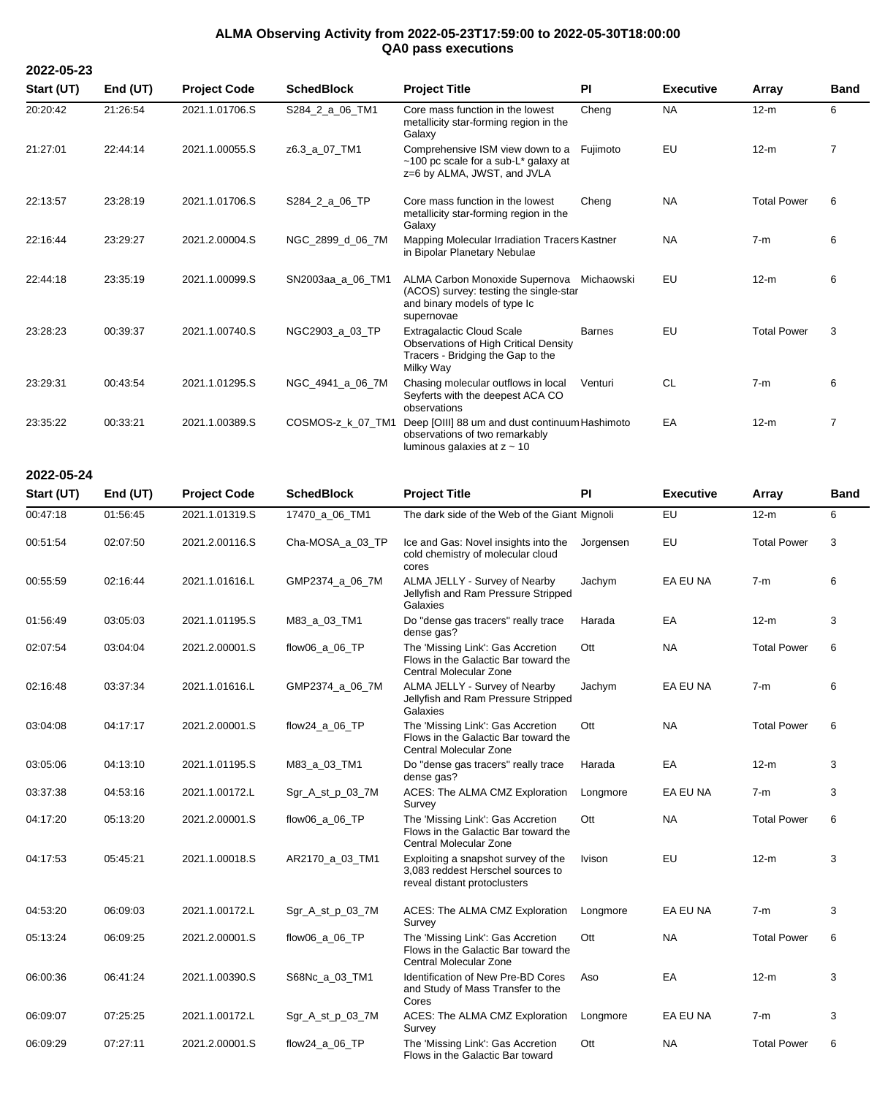## **ALMA Observing Activity from 2022-05-23T17:59:00 to 2022-05-30T18:00:00 QA0 pass executions**

**2022-05-23**

**2022-05-24**

**Start (UT) End (UT) Project Code SchedBlock Project Title PI Executive Array Band** 20:20:42 21:26:54 2021.1.01706.S S284\_2\_a\_06\_TM1 Core mass function in the lowest metallicity star-forming region in the Galaxy Cheng NA 12-m 6 21:27:01 22:44:14 2021.1.00055.S z6.3\_a\_07\_TM1 Comprehensive ISM view down to a ~100 pc scale for a sub-L\* galaxy at z=6 by ALMA, JWST, and JVLA Fujimoto EU 12-m 7 22:13:57 23:28:19 2021.1.01706.S S284\_2\_a\_06\_TP Core mass function in the lowest metallicity star-forming region in the Galaxy Cheng NA Total Power 6 22:16:44 23:29:27 2021.2.00004.S NGC\_2899\_d\_06\_7M Mapping Molecular Irradiation Tracers Kastner NA 7-m 6 in Bipolar Planetary Nebulae 22:44:18 23:35:19 2021.1.00099.S SN2003aa\_a\_06\_TM1 ALMA Carbon Monoxide Supernova Michaowski EU 12-m 6 (ACOS) survey: testing the single-star and binary models of type Ic supernovae 23:28:23 00:39:37 2021.1.00740.S NGC2903\_a\_03\_TP Extragalactic Cloud Scale Observations of High Critical Density Tracers - Bridging the Gap to the Milky Way Barnes EU Total Power 3 23:29:31 00:43:54 2021.1.01295.S NGC\_4941\_a\_06\_7M Chasing molecular outflows in local Seyferts with the deepest ACA CO observations Venturi CL 7-m 6 23:35:22 00:33:21 2021.1.00389.S COSMOS-z\_k\_07\_TM1 Deep [OIII] 88 um and dust continuum Hashimoto EA 12-m 7 observations of two remarkably luminous galaxies at z ~ 10

| 2022-05-24 |            |                     |                   |                                                                                                          |           |                  |                    |             |
|------------|------------|---------------------|-------------------|----------------------------------------------------------------------------------------------------------|-----------|------------------|--------------------|-------------|
| Start (UT) | End $(UT)$ | <b>Project Code</b> | <b>SchedBlock</b> | <b>Project Title</b>                                                                                     | <b>PI</b> | <b>Executive</b> | Array              | <b>Band</b> |
| 00:47:18   | 01:56:45   | 2021.1.01319.S      | 17470_a_06_TM1    | The dark side of the Web of the Giant Mignoli                                                            |           | EU               | $12-m$             | 6           |
| 00:51:54   | 02:07:50   | 2021.2.00116.S      | Cha-MOSA_a_03_TP  | Ice and Gas: Novel insights into the<br>cold chemistry of molecular cloud<br>cores                       | Jorgensen | EU               | <b>Total Power</b> | 3           |
| 00:55:59   | 02:16:44   | 2021.1.01616.L      | GMP2374_a_06_7M   | ALMA JELLY - Survey of Nearby<br>Jellyfish and Ram Pressure Stripped<br>Galaxies                         | Jachym    | EA EU NA         | $7-m$              | 6           |
| 01:56:49   | 03:05:03   | 2021.1.01195.S      | M83_a_03_TM1      | Do "dense gas tracers" really trace<br>dense gas?                                                        | Harada    | EA               | $12-m$             | 3           |
| 02:07:54   | 03:04:04   | 2021.2.00001.S      | flow06_a_06_TP    | The 'Missing Link': Gas Accretion<br>Flows in the Galactic Bar toward the<br>Central Molecular Zone      | Ott       | <b>NA</b>        | <b>Total Power</b> | 6           |
| 02:16:48   | 03:37:34   | 2021.1.01616.L      | GMP2374_a_06_7M   | ALMA JELLY - Survey of Nearby<br>Jellyfish and Ram Pressure Stripped<br>Galaxies                         | Jachym    | EA EU NA         | $7-m$              | 6           |
| 03:04:08   | 04:17:17   | 2021.2.00001.S      | flow $24$ a 06 TP | The 'Missing Link': Gas Accretion<br>Flows in the Galactic Bar toward the<br>Central Molecular Zone      | Ott       | <b>NA</b>        | <b>Total Power</b> | 6           |
| 03:05:06   | 04:13:10   | 2021.1.01195.S      | M83_a_03_TM1      | Do "dense gas tracers" really trace<br>dense gas?                                                        | Harada    | EA               | $12-m$             | 3           |
| 03:37:38   | 04:53:16   | 2021.1.00172.L      | Sgr_A_st_p_03_7M  | ACES: The ALMA CMZ Exploration<br>Survey                                                                 | Longmore  | EA EU NA         | $7-m$              | 3           |
| 04:17:20   | 05:13:20   | 2021.2.00001.S      | flow06_a_06_TP    | The 'Missing Link': Gas Accretion<br>Flows in the Galactic Bar toward the<br>Central Molecular Zone      | Ott       | <b>NA</b>        | <b>Total Power</b> | 6           |
| 04:17:53   | 05:45:21   | 2021.1.00018.S      | AR2170_a_03_TM1   | Exploiting a snapshot survey of the<br>3,083 reddest Herschel sources to<br>reveal distant protoclusters | Ivison    | EU               | $12-m$             | 3           |
| 04:53:20   | 06:09:03   | 2021.1.00172.L      | Sgr_A_st_p_03_7M  | ACES: The ALMA CMZ Exploration<br>Survey                                                                 | Longmore  | EA EU NA         | $7-m$              | 3           |
| 05:13:24   | 06:09:25   | 2021.2.00001.S      | flow06_a_06_TP    | The 'Missing Link': Gas Accretion<br>Flows in the Galactic Bar toward the<br>Central Molecular Zone      | Ott       | <b>NA</b>        | <b>Total Power</b> | 6           |
| 06:00:36   | 06:41:24   | 2021.1.00390.S      | S68Nc_a_03_TM1    | Identification of New Pre-BD Cores<br>and Study of Mass Transfer to the<br>Cores                         | Aso       | EA               | $12-m$             | 3           |
| 06:09:07   | 07:25:25   | 2021.1.00172.L      | Sgr_A_st_p_03_7M  | ACES: The ALMA CMZ Exploration<br>Survey                                                                 | Longmore  | EA EU NA         | $7-m$              | 3           |

Flows in the Galactic Bar toward

Ott **NA** Total Power 6

06:09:29 07:27:11 2021.2.00001.S flow24\_a\_06\_TP The 'Missing Link': Gas Accretion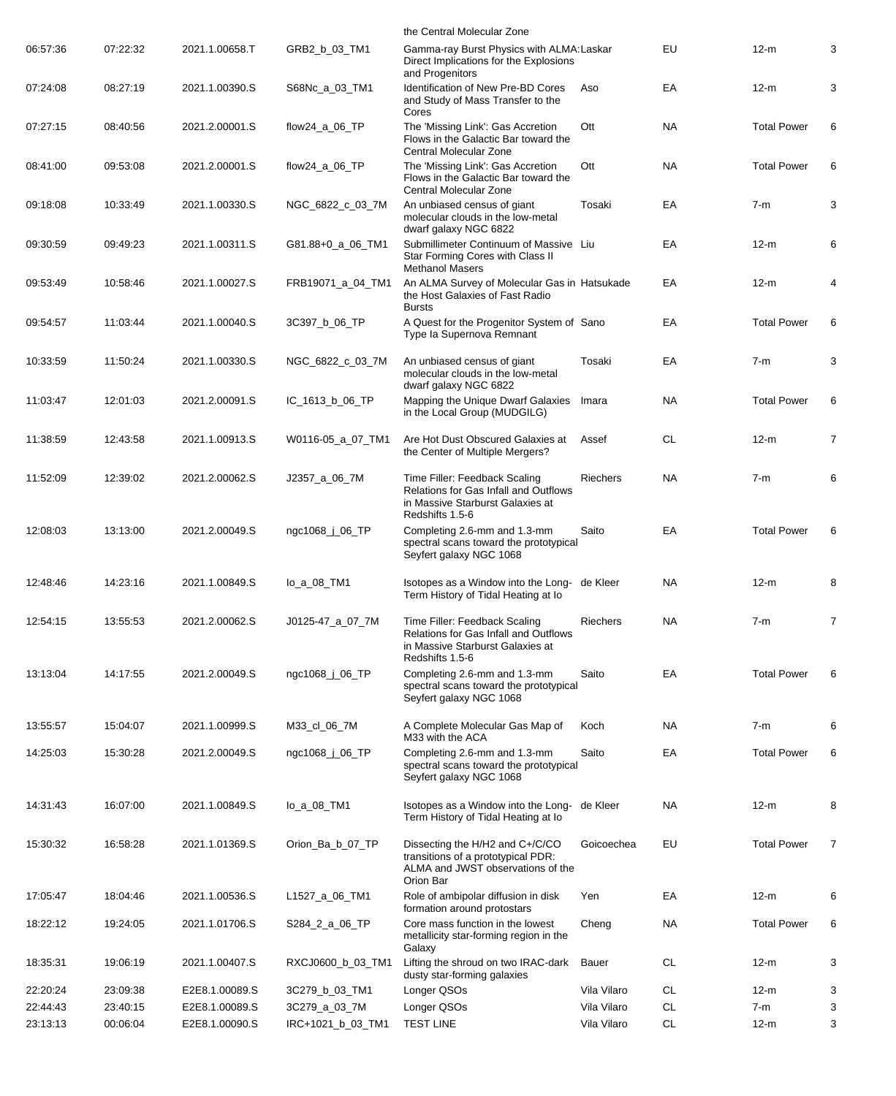|          |          |                |                   | the Central Molecular Zone                                                                                                           |                 |           |                    |                |
|----------|----------|----------------|-------------------|--------------------------------------------------------------------------------------------------------------------------------------|-----------------|-----------|--------------------|----------------|
| 06:57:36 | 07:22:32 | 2021.1.00658.T | GRB2_b_03_TM1     | Gamma-ray Burst Physics with ALMA: Laskar<br>Direct Implications for the Explosions<br>and Progenitors                               |                 | EU        | $12-m$             | 3              |
| 07:24:08 | 08:27:19 | 2021.1.00390.S | S68Nc_a_03_TM1    | Identification of New Pre-BD Cores<br>and Study of Mass Transfer to the<br>Cores                                                     | Aso             | EA        | $12-m$             | 3              |
| 07:27:15 | 08:40:56 | 2021.2.00001.S | flow24_a_06_TP    | The 'Missing Link': Gas Accretion<br>Flows in the Galactic Bar toward the<br>Central Molecular Zone                                  | Ott             | <b>NA</b> | <b>Total Power</b> | 6              |
| 08:41:00 | 09:53:08 | 2021.2.00001.S | flow24_a_06_TP    | The 'Missing Link': Gas Accretion<br>Flows in the Galactic Bar toward the<br>Central Molecular Zone                                  | Ott             | <b>NA</b> | <b>Total Power</b> | 6              |
| 09:18:08 | 10:33:49 | 2021.1.00330.S | NGC_6822_c_03_7M  | An unbiased census of giant<br>molecular clouds in the low-metal<br>dwarf galaxy NGC 6822                                            | Tosaki          | ЕA        | 7-m                | 3              |
| 09:30:59 | 09:49:23 | 2021.1.00311.S | G81.88+0_a_06_TM1 | Submillimeter Continuum of Massive Liu<br>Star Forming Cores with Class II<br><b>Methanol Masers</b>                                 |                 | EA        | $12-m$             | 6              |
| 09:53:49 | 10:58:46 | 2021.1.00027.S | FRB19071_a_04_TM1 | An ALMA Survey of Molecular Gas in Hatsukade<br>the Host Galaxies of Fast Radio<br><b>Bursts</b>                                     |                 | ЕA        | $12-m$             | 4              |
| 09:54:57 | 11:03:44 | 2021.1.00040.S | 3C397_b_06_TP     | A Quest for the Progenitor System of Sano<br>Type la Supernova Remnant                                                               |                 | EA        | <b>Total Power</b> | 6              |
| 10:33:59 | 11:50:24 | 2021.1.00330.S | NGC_6822_c_03_7M  | An unbiased census of giant<br>molecular clouds in the low-metal<br>dwarf galaxy NGC 6822                                            | Tosaki          | ЕA        | 7-m                | 3              |
| 11:03:47 | 12:01:03 | 2021.2.00091.S | IC_1613_b_06_TP   | Mapping the Unique Dwarf Galaxies<br>in the Local Group (MUDGILG)                                                                    | Imara           | <b>NA</b> | <b>Total Power</b> | 6              |
| 11:38:59 | 12:43:58 | 2021.1.00913.S | W0116-05_a_07_TM1 | Are Hot Dust Obscured Galaxies at<br>the Center of Multiple Mergers?                                                                 | Assef           | <b>CL</b> | $12-m$             | $\overline{7}$ |
| 11:52:09 | 12:39:02 | 2021.2.00062.S | J2357_a_06_7M     | Time Filler: Feedback Scaling<br><b>Relations for Gas Infall and Outflows</b><br>in Massive Starburst Galaxies at<br>Redshifts 1.5-6 | Riechers        | <b>NA</b> | $7-m$              | 6              |
| 12:08:03 | 13:13:00 | 2021.2.00049.S | ngc1068_j_06_TP   | Completing 2.6-mm and 1.3-mm<br>spectral scans toward the prototypical<br>Seyfert galaxy NGC 1068                                    | Saito           | ЕA        | <b>Total Power</b> | 6              |
| 12:48:46 | 14:23:16 | 2021.1.00849.S | lo_a_08_TM1       | Isotopes as a Window into the Long- de Kleer<br>Term History of Tidal Heating at Io                                                  |                 | <b>NA</b> | $12-m$             | 8              |
| 12:54:15 | 13:55:53 | 2021.2.00062.S | J0125-47 a 07 7M  | Time Filler: Feedback Scaling<br><b>Relations for Gas Infall and Outflows</b><br>in Massive Starburst Galaxies at<br>Redshifts 1.5-6 | <b>Riechers</b> | <b>NA</b> | $7-m$              | $\overline{7}$ |
| 13:13:04 | 14:17:55 | 2021.2.00049.S | ngc1068_j_06_TP   | Completing 2.6-mm and 1.3-mm<br>spectral scans toward the prototypical<br>Seyfert galaxy NGC 1068                                    | Saito           | EA        | <b>Total Power</b> | 6              |
| 13:55:57 | 15:04:07 | 2021.1.00999.S | M33_cl_06_7M      | A Complete Molecular Gas Map of<br>M33 with the ACA                                                                                  | Koch            | <b>NA</b> | $7-m$              | 6              |
| 14:25:03 | 15:30:28 | 2021.2.00049.S | ngc1068_j_06_TP   | Completing 2.6-mm and 1.3-mm<br>spectral scans toward the prototypical<br>Seyfert galaxy NGC 1068                                    | Saito           | EA        | <b>Total Power</b> | 6              |
| 14:31:43 | 16:07:00 | 2021.1.00849.S | lo_a_08_TM1       | Isotopes as a Window into the Long- de Kleer<br>Term History of Tidal Heating at lo                                                  |                 | <b>NA</b> | $12-m$             | 8              |
| 15:30:32 | 16:58:28 | 2021.1.01369.S | Orion_Ba_b_07_TP  | Dissecting the H/H2 and C+/C/CO<br>transitions of a prototypical PDR:<br>ALMA and JWST observations of the<br>Orion Bar              | Goicoechea      | EU        | <b>Total Power</b> | $\overline{7}$ |
| 17:05:47 | 18:04:46 | 2021.1.00536.S | L1527_a_06_TM1    | Role of ambipolar diffusion in disk<br>formation around protostars                                                                   | Yen             | ЕA        | $12-m$             | 6              |
| 18:22:12 | 19:24:05 | 2021.1.01706.S | S284_2_a_06_TP    | Core mass function in the lowest<br>metallicity star-forming region in the<br>Galaxy                                                 | Cheng           | <b>NA</b> | <b>Total Power</b> | 6              |
| 18:35:31 | 19:06:19 | 2021.1.00407.S | RXCJ0600_b_03_TM1 | Lifting the shroud on two IRAC-dark<br>dusty star-forming galaxies                                                                   | Bauer           | CL        | $12-m$             | 3              |
| 22:20:24 | 23:09:38 | E2E8.1.00089.S | 3C279_b_03_TM1    | Longer QSOs                                                                                                                          | Vila Vilaro     | CL        | $12-m$             | 3              |
| 22:44:43 | 23:40:15 | E2E8.1.00089.S | 3C279_a_03_7M     | Longer QSOs                                                                                                                          | Vila Vilaro     | <b>CL</b> | $7-m$              | 3              |
| 23:13:13 | 00:06:04 | E2E8.1.00090.S | IRC+1021_b_03_TM1 | <b>TEST LINE</b>                                                                                                                     | Vila Vilaro     | <b>CL</b> | $12-m$             | 3              |
|          |          |                |                   |                                                                                                                                      |                 |           |                    |                |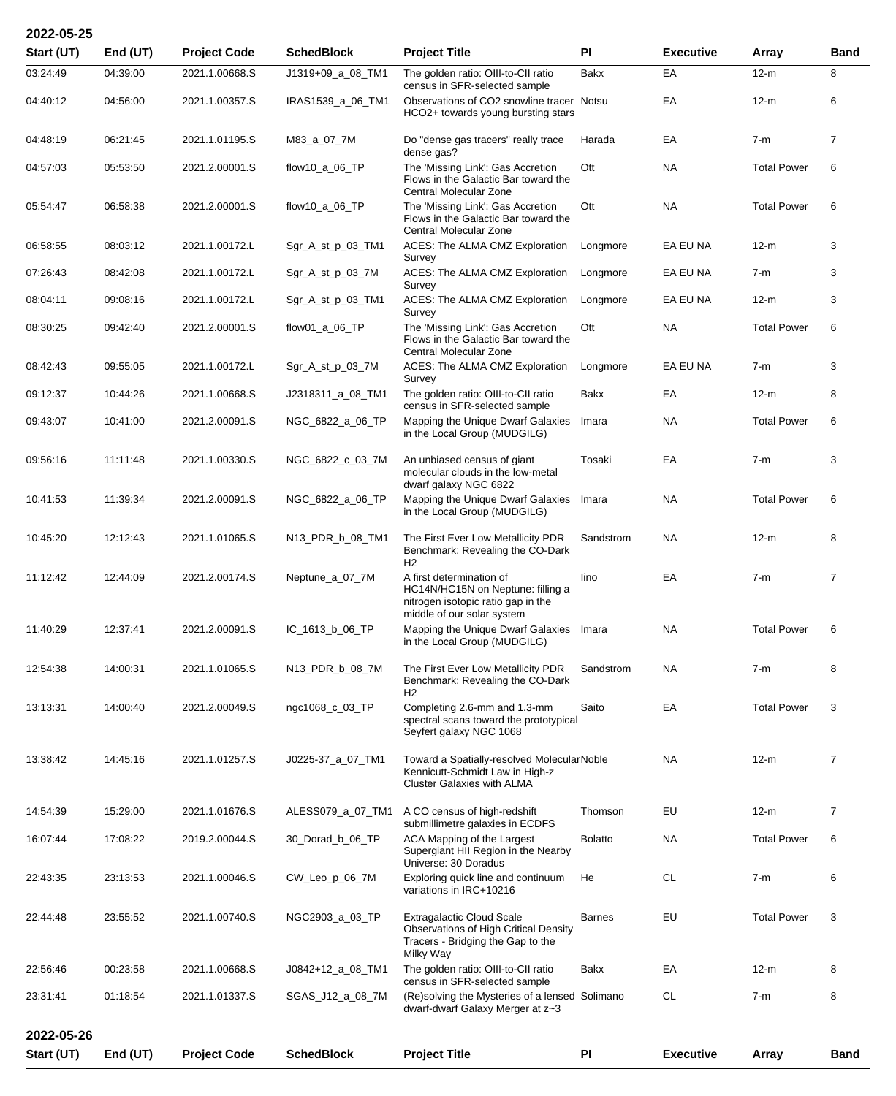| Start (UT) | End (UT) | <b>Project Code</b> | <b>SchedBlock</b> | <b>Project Title</b>                                                                                                               | PI             | <b>Executive</b> | Array              | <b>Band</b>    |
|------------|----------|---------------------|-------------------|------------------------------------------------------------------------------------------------------------------------------------|----------------|------------------|--------------------|----------------|
| 03:24:49   | 04:39:00 | 2021.1.00668.S      | J1319+09_a_08_TM1 | The golden ratio: OIII-to-CII ratio<br>census in SFR-selected sample                                                               | Bakx           | EA               | $12-m$             | 8              |
| 04:40:12   | 04:56:00 | 2021.1.00357.S      | IRAS1539_a_06_TM1 | Observations of CO2 snowline tracer Notsu<br>HCO2+ towards young bursting stars                                                    |                | EA               | $12-m$             | 6              |
| 04:48:19   | 06:21:45 | 2021.1.01195.S      | M83_a_07_7M       | Do "dense gas tracers" really trace<br>dense gas?                                                                                  | Harada         | EA               | $7-m$              | $\overline{7}$ |
| 04:57:03   | 05:53:50 | 2021.2.00001.S      | flow10_a_06_TP    | The 'Missing Link': Gas Accretion<br>Flows in the Galactic Bar toward the<br>Central Molecular Zone                                | Ott            | NA.              | <b>Total Power</b> | 6              |
| 05:54:47   | 06:58:38 | 2021.2.00001.S      | flow10_a_06_TP    | The 'Missing Link': Gas Accretion<br>Flows in the Galactic Bar toward the<br>Central Molecular Zone                                | Ott            | <b>NA</b>        | <b>Total Power</b> | 6              |
| 06:58:55   | 08:03:12 | 2021.1.00172.L      | Sgr_A_st_p_03_TM1 | ACES: The ALMA CMZ Exploration<br>Survey                                                                                           | Longmore       | EA EU NA         | 12-m               | 3              |
| 07:26:43   | 08:42:08 | 2021.1.00172.L      | Sgr_A_st_p_03_7M  | ACES: The ALMA CMZ Exploration<br>Survey                                                                                           | Longmore       | EA EU NA         | $7-m$              | 3              |
| 08:04:11   | 09:08:16 | 2021.1.00172.L      | Sgr_A_st_p_03_TM1 | ACES: The ALMA CMZ Exploration<br>Survey                                                                                           | Longmore       | EA EU NA         | $12-m$             | 3              |
| 08:30:25   | 09:42:40 | 2021.2.00001.S      | flow01_a_06_TP    | The 'Missing Link': Gas Accretion<br>Flows in the Galactic Bar toward the<br>Central Molecular Zone                                | Ott            | NA.              | <b>Total Power</b> | 6              |
| 08:42:43   | 09:55:05 | 2021.1.00172.L      | Sgr_A_st_p_03_7M  | ACES: The ALMA CMZ Exploration<br>Survey                                                                                           | Longmore       | EA EU NA         | $7-m$              | 3              |
| 09:12:37   | 10:44:26 | 2021.1.00668.S      | J2318311_a_08_TM1 | The golden ratio: OIII-to-CII ratio<br>census in SFR-selected sample                                                               | Bakx           | EA               | $12-m$             | 8              |
| 09:43:07   | 10:41:00 | 2021.2.00091.S      | NGC_6822_a_06_TP  | Mapping the Unique Dwarf Galaxies<br>in the Local Group (MUDGILG)                                                                  | Imara          | NA.              | <b>Total Power</b> | 6              |
| 09:56:16   | 11:11:48 | 2021.1.00330.S      | NGC_6822_c_03_7M  | An unbiased census of giant<br>molecular clouds in the low-metal<br>dwarf galaxy NGC 6822                                          | Tosaki         | EA               | $7-m$              | 3              |
| 10:41:53   | 11:39:34 | 2021.2.00091.S      | NGC_6822_a_06_TP  | Mapping the Unique Dwarf Galaxies<br>in the Local Group (MUDGILG)                                                                  | Imara          | NA.              | <b>Total Power</b> | 6              |
| 10:45:20   | 12:12:43 | 2021.1.01065.S      | N13_PDR_b_08_TM1  | The First Ever Low Metallicity PDR<br>Benchmark: Revealing the CO-Dark<br>H <sub>2</sub>                                           | Sandstrom      | NA.              | $12-m$             | 8              |
| 11:12:42   | 12:44:09 | 2021.2.00174.S      | Neptune_a_07_7M   | A first determination of<br>HC14N/HC15N on Neptune: filling a<br>nitrogen isotopic ratio gap in the<br>middle of our solar system  | lino           | EA               | $7-m$              | 7              |
| 11:40:29   | 12:37:41 | 2021.2.00091.S      | IC_1613_b_06_TP   | Mapping the Unique Dwarf Galaxies Imara<br>in the Local Group (MUDGILG)                                                            |                | <b>NA</b>        | <b>Total Power</b> | 6              |
| 12:54:38   | 14:00:31 | 2021.1.01065.S      | N13_PDR_b_08_7M   | The First Ever Low Metallicity PDR<br>Benchmark: Revealing the CO-Dark<br>H <sub>2</sub>                                           | Sandstrom      | NA               | $7-m$              | 8              |
| 13:13:31   | 14:00:40 | 2021.2.00049.S      | ngc1068_c_03_TP   | Completing 2.6-mm and 1.3-mm<br>spectral scans toward the prototypical<br>Seyfert galaxy NGC 1068                                  | Saito          | EA               | <b>Total Power</b> | 3              |
| 13:38:42   | 14:45:16 | 2021.1.01257.S      | J0225-37_a_07_TM1 | Toward a Spatially-resolved MolecularNoble<br>Kennicutt-Schmidt Law in High-z<br><b>Cluster Galaxies with ALMA</b>                 |                | <b>NA</b>        | $12-m$             | $\overline{7}$ |
| 14:54:39   | 15:29:00 | 2021.1.01676.S      | ALESS079_a_07_TM1 | A CO census of high-redshift<br>submillimetre galaxies in ECDFS                                                                    | Thomson        | EU               | $12-m$             | $\overline{7}$ |
| 16:07:44   | 17:08:22 | 2019.2.00044.S      | 30_Dorad_b_06_TP  | ACA Mapping of the Largest<br>Supergiant HII Region in the Nearby<br>Universe: 30 Doradus                                          | <b>Bolatto</b> | NA.              | <b>Total Power</b> | 6              |
| 22:43:35   | 23:13:53 | 2021.1.00046.S      | CW_Leo_p_06_7M    | Exploring quick line and continuum<br>variations in IRC+10216                                                                      | He             | <b>CL</b>        | $7-m$              | 6              |
| 22:44:48   | 23:55:52 | 2021.1.00740.S      | NGC2903_a_03_TP   | <b>Extragalactic Cloud Scale</b><br><b>Observations of High Critical Density</b><br>Tracers - Bridging the Gap to the<br>Milky Way | <b>Barnes</b>  | <b>EU</b>        | <b>Total Power</b> | 3              |
| 22:56:46   | 00:23:58 | 2021.1.00668.S      | J0842+12_a_08_TM1 | The golden ratio: OIII-to-CII ratio<br>census in SFR-selected sample                                                               | Bakx           | EA               | $12-m$             | 8              |
| 23:31:41   | 01:18:54 | 2021.1.01337.S      | SGAS_J12_a_08_7M  | (Re)solving the Mysteries of a lensed Solimano<br>dwarf-dwarf Galaxy Merger at z~3                                                 |                | <b>CL</b>        | $7-m$              | 8              |
| 2022-05-26 |          |                     |                   |                                                                                                                                    |                |                  |                    |                |
| Start (UT) | End (UT) | <b>Project Code</b> | <b>SchedBlock</b> | <b>Project Title</b>                                                                                                               | <b>PI</b>      | <b>Executive</b> | Array              | Band           |

**2022-05-25**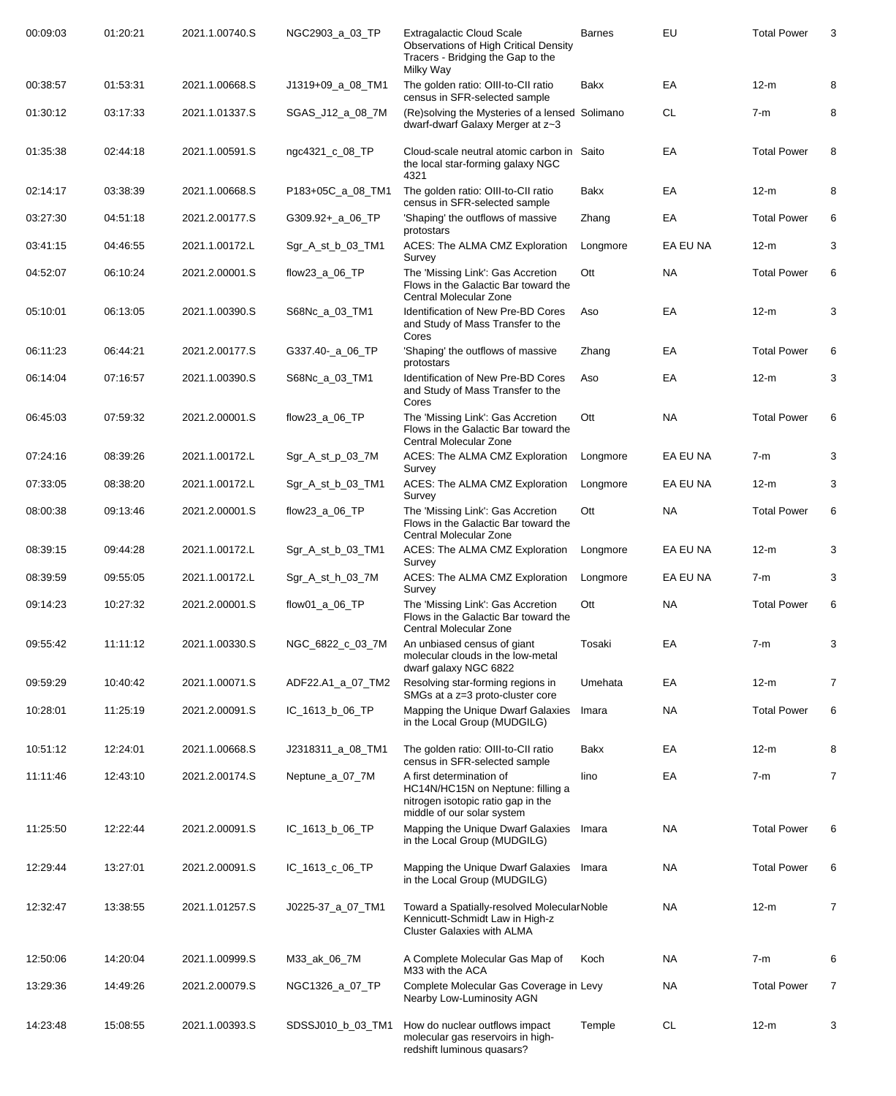| 00:09:03 | 01:20:21 | 2021.1.00740.S | NGC2903_a_03_TP   | <b>Extragalactic Cloud Scale</b><br><b>Observations of High Critical Density</b><br>Tracers - Bridging the Gap to the<br>Milky Way | <b>Barnes</b> | EU        | <b>Total Power</b> | 3              |
|----------|----------|----------------|-------------------|------------------------------------------------------------------------------------------------------------------------------------|---------------|-----------|--------------------|----------------|
| 00:38:57 | 01:53:31 | 2021.1.00668.S | J1319+09_a_08_TM1 | The golden ratio: OIII-to-CII ratio<br>census in SFR-selected sample                                                               | Bakx          | EA        | $12-m$             | 8              |
| 01:30:12 | 03:17:33 | 2021.1.01337.S | SGAS_J12_a_08_7M  | (Re)solving the Mysteries of a lensed Solimano<br>dwarf-dwarf Galaxy Merger at z~3                                                 |               | СL        | $7-m$              | 8              |
| 01:35:38 | 02:44:18 | 2021.1.00591.S | ngc4321_c_08_TP   | Cloud-scale neutral atomic carbon in Saito<br>the local star-forming galaxy NGC<br>4321                                            |               | EA        | <b>Total Power</b> | 8              |
| 02:14:17 | 03:38:39 | 2021.1.00668.S | P183+05C_a_08_TM1 | The golden ratio: OIII-to-CII ratio<br>census in SFR-selected sample                                                               | Bakx          | EA        | $12-m$             | 8              |
| 03:27:30 | 04:51:18 | 2021.2.00177.S | G309.92+_a_06_TP  | 'Shaping' the outflows of massive<br>protostars                                                                                    | Zhang         | EA        | <b>Total Power</b> | 6              |
| 03:41:15 | 04:46:55 | 2021.1.00172.L | Sgr_A_st_b_03_TM1 | ACES: The ALMA CMZ Exploration<br>Survey                                                                                           | Longmore      | EA EU NA  | $12-m$             | 3              |
| 04:52:07 | 06:10:24 | 2021.2.00001.S | flow23_a_06_TP    | The 'Missing Link': Gas Accretion<br>Flows in the Galactic Bar toward the<br>Central Molecular Zone                                | Ott           | NA        | <b>Total Power</b> | 6              |
| 05:10:01 | 06:13:05 | 2021.1.00390.S | S68Nc_a_03_TM1    | Identification of New Pre-BD Cores<br>and Study of Mass Transfer to the<br>Cores                                                   | Aso           | EA        | $12-m$             | 3              |
| 06:11:23 | 06:44:21 | 2021.2.00177.S | G337.40- a 06 TP  | 'Shaping' the outflows of massive<br>protostars                                                                                    | Zhang         | EA        | <b>Total Power</b> | 6              |
| 06:14:04 | 07:16:57 | 2021.1.00390.S | S68Nc_a_03_TM1    | <b>Identification of New Pre-BD Cores</b><br>and Study of Mass Transfer to the<br>Cores                                            | Aso           | EA        | $12-m$             | 3              |
| 06:45:03 | 07:59:32 | 2021.2.00001.S | flow23_a_06_TP    | The 'Missing Link': Gas Accretion<br>Flows in the Galactic Bar toward the<br>Central Molecular Zone                                | Ott           | NA        | <b>Total Power</b> | 6              |
| 07:24:16 | 08:39:26 | 2021.1.00172.L | Sgr_A_st_p_03_7M  | ACES: The ALMA CMZ Exploration<br>Survey                                                                                           | Longmore      | EA EU NA  | $7-m$              | 3              |
| 07:33:05 | 08:38:20 | 2021.1.00172.L | Sgr_A_st_b_03_TM1 | ACES: The ALMA CMZ Exploration<br>Survey                                                                                           | Longmore      | EA EU NA  | $12-m$             | 3              |
| 08:00:38 | 09:13:46 | 2021.2.00001.S | flow23_a_06_TP    | The 'Missing Link': Gas Accretion<br>Flows in the Galactic Bar toward the<br>Central Molecular Zone                                | Ott           | NA        | <b>Total Power</b> | 6              |
| 08:39:15 | 09:44:28 | 2021.1.00172.L | Sgr_A_st_b_03_TM1 | ACES: The ALMA CMZ Exploration<br>Survey                                                                                           | Longmore      | EA EU NA  | $12-m$             | 3              |
| 08:39:59 | 09:55:05 | 2021.1.00172.L | Sgr_A_st_h_03_7M  | ACES: The ALMA CMZ Exploration<br>Survey                                                                                           | Longmore      | EA EU NA  | $7-m$              | 3              |
| 09:14:23 | 10:27:32 | 2021.2.00001.S | flow01_a_06_TP    | The 'Missing Link': Gas Accretion<br>Flows in the Galactic Bar toward the<br>Central Molecular Zone                                | Ott           | NA        | <b>Total Power</b> | 6              |
| 09:55:42 | 11:11:12 | 2021.1.00330.S | NGC_6822_c_03_7M  | An unbiased census of giant<br>molecular clouds in the low-metal<br>dwarf galaxy NGC 6822                                          | Tosaki        | EA        | $7-m$              | 3              |
| 09:59:29 | 10:40:42 | 2021.1.00071.S | ADF22.A1_a_07_TM2 | Resolving star-forming regions in<br>SMGs at a z=3 proto-cluster core                                                              | Umehata       | EA        | $12-m$             | $\overline{7}$ |
| 10:28:01 | 11:25:19 | 2021.2.00091.S | IC_1613_b_06_TP   | Mapping the Unique Dwarf Galaxies<br>in the Local Group (MUDGILG)                                                                  | Imara         | NA        | <b>Total Power</b> | 6              |
| 10:51:12 | 12:24:01 | 2021.1.00668.S | J2318311_a_08_TM1 | The golden ratio: OIII-to-CII ratio<br>census in SFR-selected sample                                                               | Bakx          | EA        | $12-m$             | 8              |
| 11:11:46 | 12:43:10 | 2021.2.00174.S | Neptune_a_07_7M   | A first determination of<br>HC14N/HC15N on Neptune: filling a<br>nitrogen isotopic ratio gap in the<br>middle of our solar system  | lino          | EA        | $7-m$              | $\overline{7}$ |
| 11:25:50 | 12:22:44 | 2021.2.00091.S | IC_1613_b_06_TP   | Mapping the Unique Dwarf Galaxies<br>in the Local Group (MUDGILG)                                                                  | Imara         | NA        | <b>Total Power</b> | 6              |
| 12:29:44 | 13:27:01 | 2021.2.00091.S | IC_1613_c_06_TP   | Mapping the Unique Dwarf Galaxies Imara<br>in the Local Group (MUDGILG)                                                            |               | NA.       | <b>Total Power</b> | 6              |
| 12:32:47 | 13:38:55 | 2021.1.01257.S | J0225-37_a_07_TM1 | Toward a Spatially-resolved MolecularNoble<br>Kennicutt-Schmidt Law in High-z<br><b>Cluster Galaxies with ALMA</b>                 |               | NA        | $12-m$             | 7              |
| 12:50:06 | 14:20:04 | 2021.1.00999.S | M33_ak_06_7M      | A Complete Molecular Gas Map of<br>M33 with the ACA                                                                                | Koch          | NA.       | $7-m$              | 6              |
| 13:29:36 | 14:49:26 | 2021.2.00079.S | NGC1326_a_07_TP   | Complete Molecular Gas Coverage in Levy<br>Nearby Low-Luminosity AGN                                                               |               | <b>NA</b> | <b>Total Power</b> | $\overline{7}$ |
| 14:23:48 | 15:08:55 | 2021.1.00393.S | SDSSJ010_b_03_TM1 | How do nuclear outflows impact<br>molecular gas reservoirs in high-<br>redshift luminous quasars?                                  | Temple        | <b>CL</b> | $12-m$             | 3              |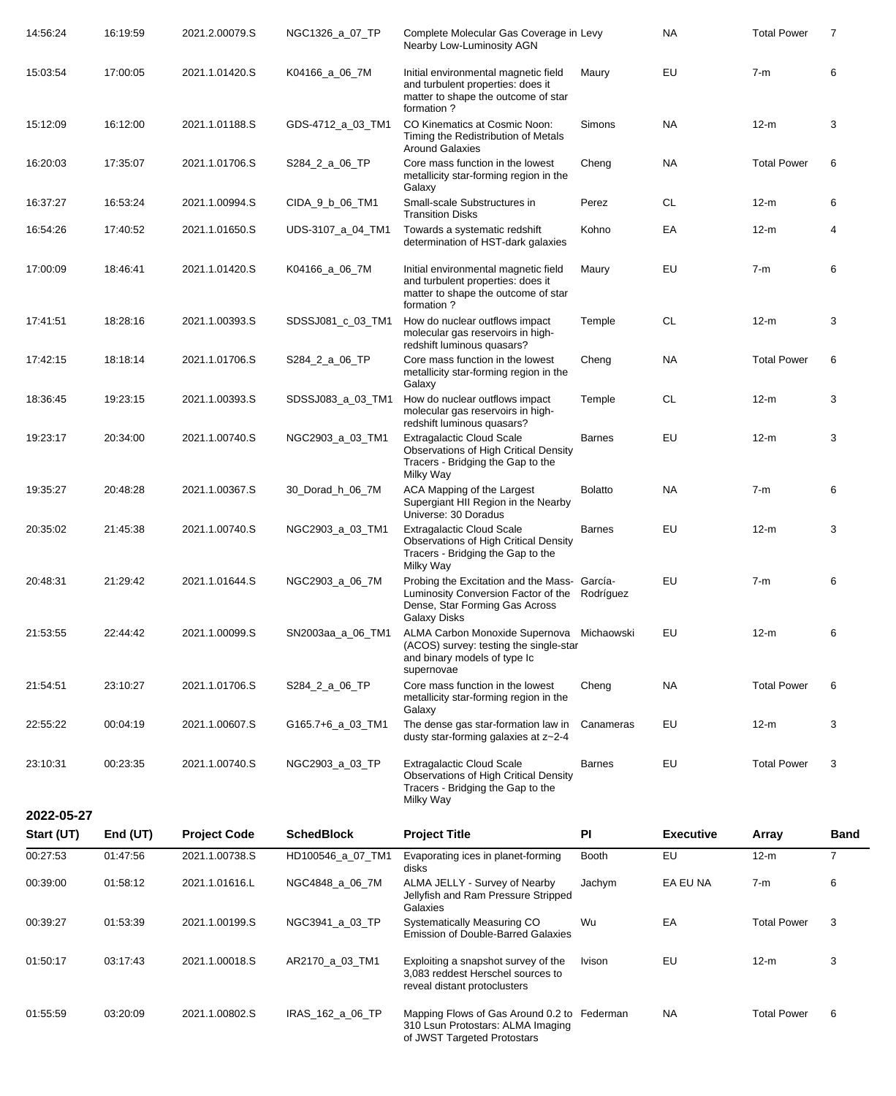| 14:56:24   | 16:19:59   | 2021.2.00079.S      | NGC1326_a_07_TP   | Complete Molecular Gas Coverage in Levy<br>Nearby Low-Luminosity AGN                                                                                   |                | <b>NA</b>        | <b>Total Power</b> | $\overline{7}$ |
|------------|------------|---------------------|-------------------|--------------------------------------------------------------------------------------------------------------------------------------------------------|----------------|------------------|--------------------|----------------|
| 15:03:54   | 17:00:05   | 2021.1.01420.S      | K04166_a_06_7M    | Initial environmental magnetic field<br>and turbulent properties: does it<br>matter to shape the outcome of star<br>formation?                         | Maury          | EU               | $7-m$              | 6              |
| 15:12:09   | 16:12:00   | 2021.1.01188.S      | GDS-4712_a_03_TM1 | CO Kinematics at Cosmic Noon:<br>Timing the Redistribution of Metals<br><b>Around Galaxies</b>                                                         | <b>Simons</b>  | <b>NA</b>        | $12-m$             | 3              |
| 16:20:03   | 17:35:07   | 2021.1.01706.S      | S284_2_a_06_TP    | Core mass function in the lowest<br>metallicity star-forming region in the<br>Galaxy                                                                   | Cheng          | <b>NA</b>        | <b>Total Power</b> | 6              |
| 16:37:27   | 16:53:24   | 2021.1.00994.S      | CIDA_9_b_06_TM1   | Small-scale Substructures in<br><b>Transition Disks</b>                                                                                                | Perez          | <b>CL</b>        | $12-m$             | 6              |
| 16:54:26   | 17:40:52   | 2021.1.01650.S      | UDS-3107_a_04_TM1 | Towards a systematic redshift<br>determination of HST-dark galaxies                                                                                    | Kohno          | EA               | $12-m$             | 4              |
| 17:00:09   | 18:46:41   | 2021.1.01420.S      | K04166_a_06_7M    | Initial environmental magnetic field<br>and turbulent properties: does it<br>matter to shape the outcome of star<br>formation?                         | Maury          | EU               | $7-m$              | 6              |
| 17:41:51   | 18:28:16   | 2021.1.00393.S      | SDSSJ081_c_03_TM1 | How do nuclear outflows impact<br>molecular gas reservoirs in high-<br>redshift luminous quasars?                                                      | Temple         | <b>CL</b>        | $12-m$             | 3              |
| 17:42:15   | 18:18:14   | 2021.1.01706.S      | S284_2_a_06_TP    | Core mass function in the lowest<br>metallicity star-forming region in the<br>Galaxy                                                                   | Cheng          | <b>NA</b>        | <b>Total Power</b> | 6              |
| 18:36:45   | 19:23:15   | 2021.1.00393.S      | SDSSJ083 a 03 TM1 | How do nuclear outflows impact<br>molecular gas reservoirs in high-<br>redshift luminous quasars?                                                      | Temple         | <b>CL</b>        | $12-m$             | 3              |
| 19:23:17   | 20:34:00   | 2021.1.00740.S      | NGC2903_a_03_TM1  | <b>Extragalactic Cloud Scale</b><br><b>Observations of High Critical Density</b><br>Tracers - Bridging the Gap to the<br>Milky Way                     | <b>Barnes</b>  | EU               | $12-m$             | 3              |
| 19:35:27   | 20:48:28   | 2021.1.00367.S      | 30_Dorad_h_06_7M  | ACA Mapping of the Largest<br>Supergiant HII Region in the Nearby<br>Universe: 30 Doradus                                                              | <b>Bolatto</b> | <b>NA</b>        | $7-m$              | 6              |
| 20:35:02   | 21:45:38   | 2021.1.00740.S      | NGC2903 a 03 TM1  | <b>Extragalactic Cloud Scale</b><br>Observations of High Critical Density<br>Tracers - Bridging the Gap to the<br>Milky Way                            | <b>Barnes</b>  | EU               | $12-m$             | 3              |
| 20:48:31   | 21:29:42   | 2021.1.01644.S      | NGC2903_a_06_7M   | Probing the Excitation and the Mass- García-<br>Luminosity Conversion Factor of the Rodríguez<br>Dense, Star Forming Gas Across<br><b>Galaxy Disks</b> |                | EU               | $7-m$              | 6              |
| 21:53:55   | 22:44:42   | 2021.1.00099.S      | SN2003aa_a_06_TM1 | ALMA Carbon Monoxide Supernova Michaowski<br>(ACOS) survey: testing the single-star<br>and binary models of type Ic<br>supernovae                      |                | EU               | $12-m$             | 6              |
| 21:54:51   | 23:10:27   | 2021.1.01706.S      | S284_2_a_06_TP    | Core mass function in the lowest<br>metallicity star-forming region in the<br>Galaxy                                                                   | Cheng          | <b>NA</b>        | <b>Total Power</b> | 6              |
| 22:55:22   | 00:04:19   | 2021.1.00607.S      | G165.7+6_a_03_TM1 | The dense gas star-formation law in<br>dusty star-forming galaxies at z~2-4                                                                            | Canameras      | EU               | $12-m$             | 3              |
| 23:10:31   | 00:23:35   | 2021.1.00740.S      | NGC2903_a_03_TP   | <b>Extragalactic Cloud Scale</b><br>Observations of High Critical Density<br>Tracers - Bridging the Gap to the<br>Milky Way                            | <b>Barnes</b>  | EU               | <b>Total Power</b> | 3              |
| 2022-05-27 |            |                     |                   |                                                                                                                                                        |                |                  |                    |                |
| Start (UT) | End $(UT)$ | <b>Project Code</b> | <b>SchedBlock</b> | <b>Project Title</b>                                                                                                                                   | PI             | <b>Executive</b> | Array              | <b>Band</b>    |
| 00:27:53   | 01:47:56   | 2021.1.00738.S      | HD100546_a_07_TM1 | Evaporating ices in planet-forming<br>disks                                                                                                            | Booth          | EU               | $12-m$             | $\overline{7}$ |
| 00:39:00   | 01:58:12   | 2021.1.01616.L      | NGC4848_a_06_7M   | ALMA JELLY - Survey of Nearby<br>Jellyfish and Ram Pressure Stripped<br>Galaxies                                                                       | Jachym         | EA EU NA         | $7-m$              | 6              |
| 00:39:27   | 01:53:39   | 2021.1.00199.S      | NGC3941_a_03_TP   | Systematically Measuring CO<br><b>Emission of Double-Barred Galaxies</b>                                                                               | Wu             | EA               | <b>Total Power</b> | 3              |
| 01:50:17   | 03:17:43   | 2021.1.00018.S      | AR2170_a_03_TM1   | Exploiting a snapshot survey of the<br>3,083 reddest Herschel sources to<br>reveal distant protoclusters                                               | Ivison         | EU               | $12-m$             | 3              |
| 01:55:59   | 03:20:09   | 2021.1.00802.S      | IRAS_162_a_06_TP  | Mapping Flows of Gas Around 0.2 to Federman<br>310 Lsun Protostars: ALMA Imaging<br>of JWST Targeted Protostars                                        |                | <b>NA</b>        | <b>Total Power</b> | 6              |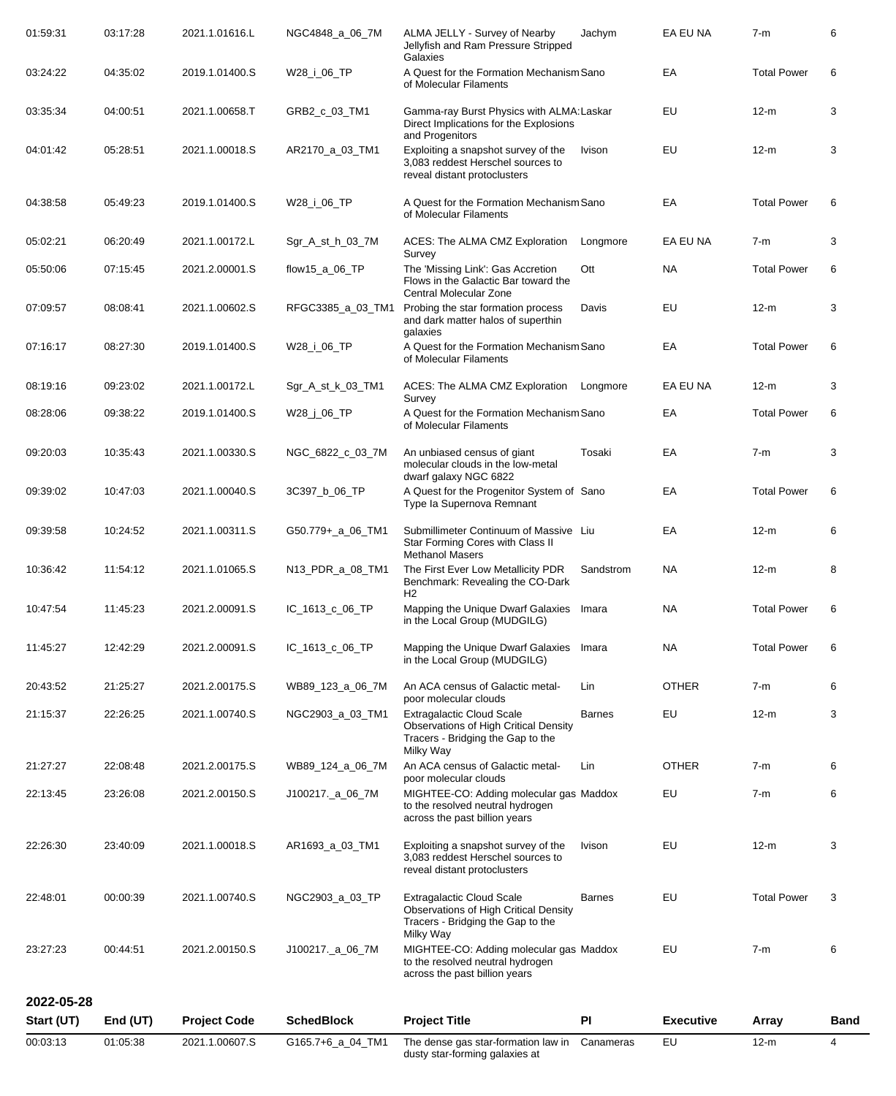| 00:03:13   | 01:05:38 | 2021.1.00607.S      | G165.7+6_a_04_TM1 | The dense gas star-formation law in<br>dusty star-forming galaxies at                                                              | Canameras     | EU               | $12-m$             | 4           |
|------------|----------|---------------------|-------------------|------------------------------------------------------------------------------------------------------------------------------------|---------------|------------------|--------------------|-------------|
| Start (UT) | End (UT) | <b>Project Code</b> | <b>SchedBlock</b> | <b>Project Title</b>                                                                                                               | PI            | <b>Executive</b> | Array              | <b>Band</b> |
| 2022-05-28 |          |                     |                   |                                                                                                                                    |               |                  |                    |             |
| 23:27:23   | 00:44:51 | 2021.2.00150.S      | J100217._a_06_7M  | MIGHTEE-CO: Adding molecular gas Maddox<br>to the resolved neutral hydrogen<br>across the past billion years                       |               | EU               | $7-m$              | 6           |
| 22:48:01   | 00:00:39 | 2021.1.00740.S      | NGC2903_a_03_TP   | <b>Extragalactic Cloud Scale</b><br><b>Observations of High Critical Density</b><br>Tracers - Bridging the Gap to the<br>Milky Way | <b>Barnes</b> | EU               | <b>Total Power</b> | 3           |
| 22:26:30   | 23:40:09 | 2021.1.00018.S      | AR1693_a_03_TM1   | Exploiting a snapshot survey of the<br>3,083 reddest Herschel sources to<br>reveal distant protoclusters                           | Ivison        | EU               | $12-m$             | 3           |
| 22:13:45   | 23:26:08 | 2021.2.00150.S      | J100217._a_06_7M  | MIGHTEE-CO: Adding molecular gas Maddox<br>to the resolved neutral hydrogen<br>across the past billion years                       |               | EU               | $7-m$              | 6           |
| 21:27:27   | 22:08:48 | 2021.2.00175.S      | WB89_124_a_06_7M  | An ACA census of Galactic metal-<br>poor molecular clouds                                                                          | Lin           | <b>OTHER</b>     | $7-m$              | 6           |
| 21:15:37   | 22:26:25 | 2021.1.00740.S      | NGC2903_a_03_TM1  | <b>Extragalactic Cloud Scale</b><br><b>Observations of High Critical Density</b><br>Tracers - Bridging the Gap to the<br>Milky Way | <b>Barnes</b> | EU               | $12-m$             | 3           |
| 20:43:52   | 21:25:27 | 2021.2.00175.S      | WB89_123_a_06_7M  | An ACA census of Galactic metal-<br>poor molecular clouds                                                                          | Lin           | <b>OTHER</b>     | $7-m$              | 6           |
| 11:45:27   | 12:42:29 | 2021.2.00091.S      | IC_1613_c_06_TP   | Mapping the Unique Dwarf Galaxies<br>in the Local Group (MUDGILG)                                                                  | Imara         | <b>NA</b>        | <b>Total Power</b> | 6           |
| 10:47:54   | 11:45:23 | 2021.2.00091.S      | IC_1613_c_06_TP   | Mapping the Unique Dwarf Galaxies Imara<br>in the Local Group (MUDGILG)                                                            |               | <b>NA</b>        | <b>Total Power</b> |             |
| 10:36:42   | 11:54:12 | 2021.1.01065.S      | N13_PDR_a_08_TM1  | The First Ever Low Metallicity PDR<br>Benchmark: Revealing the CO-Dark<br>H <sub>2</sub>                                           | Sandstrom     | <b>NA</b>        | $12-m$             | 8           |
| 09:39:58   | 10:24:52 | 2021.1.00311.S      | G50.779+_a_06_TM1 | Submillimeter Continuum of Massive Liu<br>Star Forming Cores with Class II<br><b>Methanol Masers</b>                               |               | EA               | $12-m$             | 6           |
| 09:39:02   | 10:47:03 | 2021.1.00040.S      | 3C397_b_06_TP     | A Quest for the Progenitor System of Sano<br>Type la Supernova Remnant                                                             |               | EA               | <b>Total Power</b> | 6           |
| 09:20:03   | 10:35:43 | 2021.1.00330.S      | NGC_6822_c_03_7M  | An unbiased census of giant<br>molecular clouds in the low-metal<br>dwarf galaxy NGC 6822                                          | Tosaki        | EA               | $7-m$              | 3           |
| 08:28:06   | 09:38:22 | 2019.1.01400.S      | W28_j_06_TP       | A Quest for the Formation Mechanism Sano<br>of Molecular Filaments                                                                 |               | EA               | <b>Total Power</b> | 6           |
| 08:19:16   | 09:23:02 | 2021.1.00172.L      | Sgr_A_st_k_03_TM1 | ACES: The ALMA CMZ Exploration<br>Survey                                                                                           | Longmore      | EA EU NA         | $12-m$             | 3           |
| 07:16:17   | 08:27:30 | 2019.1.01400.S      | W28_i_06_TP       | galaxies<br>A Quest for the Formation Mechanism Sano<br>of Molecular Filaments                                                     |               | EA               | <b>Total Power</b> | 6           |
| 07:09:57   | 08:08:41 | 2021.1.00602.S      | RFGC3385_a_03_TM1 | Central Molecular Zone<br>Probing the star formation process<br>and dark matter halos of superthin                                 | Davis         | EU               | $12-m$             | 3           |
| 05:50:06   | 07:15:45 | 2021.2.00001.S      | flow15_a_06_TP    | Survey<br>The 'Missing Link': Gas Accretion<br>Flows in the Galactic Bar toward the                                                | Ott           | NA.              | <b>Total Power</b> | 6           |
| 05:02:21   | 06:20:49 | 2021.1.00172.L      | Sgr_A_st_h_03_7M  | ACES: The ALMA CMZ Exploration                                                                                                     | Longmore      | EA EU NA         | $7-m$              | 3           |
| 04:38:58   | 05:49:23 | 2019.1.01400.S      | W28_i_06_TP       | A Quest for the Formation Mechanism Sano<br>of Molecular Filaments                                                                 |               | EA               | <b>Total Power</b> | 6           |
| 04:01:42   | 05:28:51 | 2021.1.00018.S      | AR2170_a_03_TM1   | and Progenitors<br>Exploiting a snapshot survey of the<br>3,083 reddest Herschel sources to<br>reveal distant protoclusters        | Ivison        | EU               | $12-m$             | 3           |
| 03:35:34   | 04:00:51 | 2021.1.00658.T      | GRB2_c_03_TM1     | Gamma-ray Burst Physics with ALMA: Laskar<br>Direct Implications for the Explosions                                                |               | EU               | $12-m$             | 3           |
| 03:24:22   | 04:35:02 | 2019.1.01400.S      | W28_i_06_TP       | Galaxies<br>A Quest for the Formation Mechanism Sano<br>of Molecular Filaments                                                     |               | EA               | <b>Total Power</b> | 6           |
| 01:59:31   | 03:17:28 | 2021.1.01616.L      | NGC4848_a_06_7M   | ALMA JELLY - Survey of Nearby<br>Jellyfish and Ram Pressure Stripped                                                               | Jachym        | EA EU NA         | $7-m$              | 6           |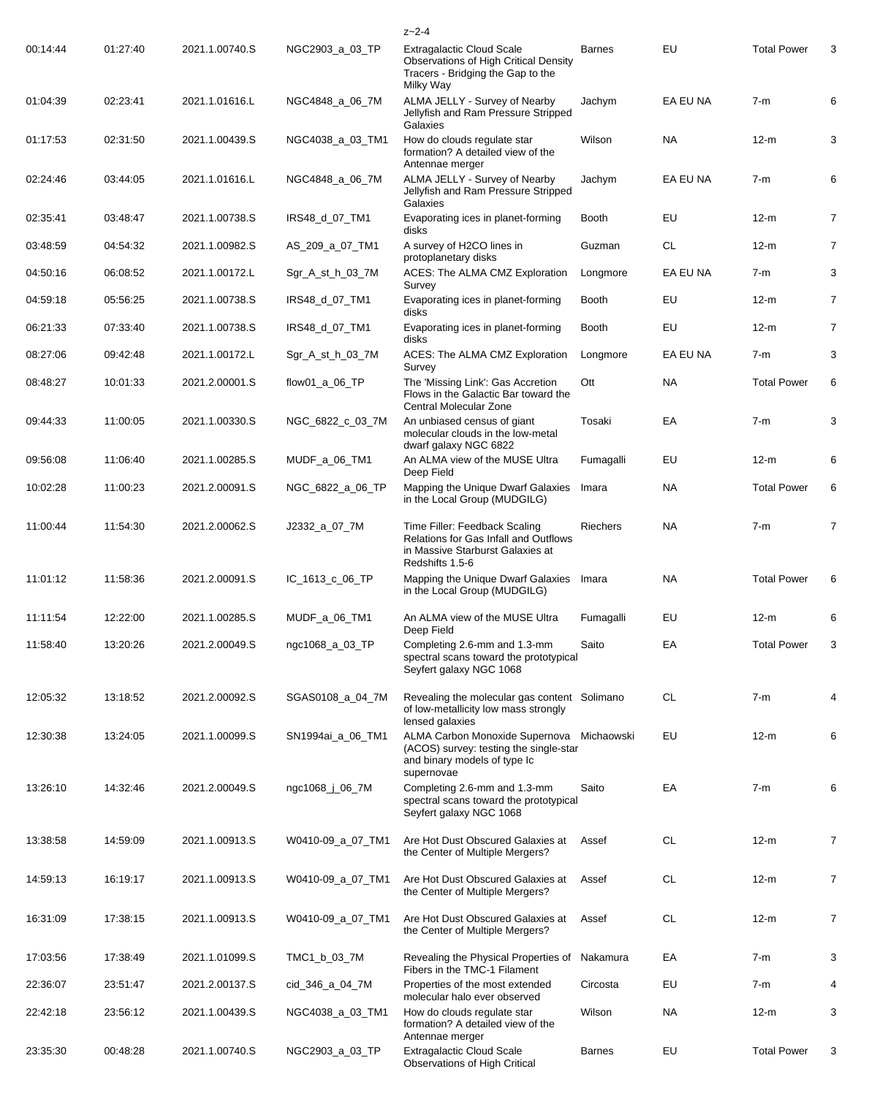|          |          |                |                   | $z - 2 - 4$                                                                                                                       |                 |           |                    |                |
|----------|----------|----------------|-------------------|-----------------------------------------------------------------------------------------------------------------------------------|-----------------|-----------|--------------------|----------------|
| 00:14:44 | 01:27:40 | 2021.1.00740.S | NGC2903_a_03_TP   | Extragalactic Cloud Scale<br><b>Observations of High Critical Density</b><br>Tracers - Bridging the Gap to the<br>Milky Way       | <b>Barnes</b>   | EU        | <b>Total Power</b> | 3              |
| 01:04:39 | 02:23:41 | 2021.1.01616.L | NGC4848_a_06_7M   | ALMA JELLY - Survey of Nearby<br>Jellyfish and Ram Pressure Stripped<br>Galaxies                                                  | Jachym          | EA EU NA  | $7-m$              | 6              |
| 01:17:53 | 02:31:50 | 2021.1.00439.S | NGC4038_a_03_TM1  | How do clouds regulate star<br>formation? A detailed view of the<br>Antennae merger                                               | Wilson          | <b>NA</b> | $12-m$             | 3              |
| 02:24:46 | 03:44:05 | 2021.1.01616.L | NGC4848_a_06_7M   | ALMA JELLY - Survey of Nearby<br>Jellyfish and Ram Pressure Stripped<br>Galaxies                                                  | Jachym          | EA EU NA  | $7-m$              | 6              |
| 02:35:41 | 03:48:47 | 2021.1.00738.S | IRS48_d_07_TM1    | Evaporating ices in planet-forming<br>disks                                                                                       | Booth           | EU        | $12-m$             | $\overline{7}$ |
| 03:48:59 | 04:54:32 | 2021.1.00982.S | AS_209_a_07_TM1   | A survey of H2CO lines in<br>protoplanetary disks                                                                                 | Guzman          | <b>CL</b> | $12-m$             | $\overline{7}$ |
| 04:50:16 | 06:08:52 | 2021.1.00172.L | Sgr_A_st_h_03_7M  | ACES: The ALMA CMZ Exploration<br>Survey                                                                                          | Longmore        | EA EU NA  | $7-m$              | 3              |
| 04:59:18 | 05:56:25 | 2021.1.00738.S | IRS48_d_07_TM1    | Evaporating ices in planet-forming<br>disks                                                                                       | <b>Booth</b>    | EU        | $12-m$             | 7              |
| 06:21:33 | 07:33:40 | 2021.1.00738.S | IRS48_d_07_TM1    | Evaporating ices in planet-forming<br>disks                                                                                       | <b>Booth</b>    | EU        | $12-m$             | $\overline{7}$ |
| 08:27:06 | 09:42:48 | 2021.1.00172.L | Sgr_A_st_h_03_7M  | ACES: The ALMA CMZ Exploration<br>Survey                                                                                          | Longmore        | EA EU NA  | $7-m$              | 3              |
| 08:48:27 | 10:01:33 | 2021.2.00001.S | flow01_a_06_TP    | The 'Missing Link': Gas Accretion<br>Flows in the Galactic Bar toward the<br>Central Molecular Zone                               | Ott             | NA.       | <b>Total Power</b> | 6              |
| 09:44:33 | 11:00:05 | 2021.1.00330.S | NGC_6822_c_03_7M  | An unbiased census of giant<br>molecular clouds in the low-metal<br>dwarf galaxy NGC 6822                                         | Tosaki          | EA        | $7-m$              | 3              |
| 09:56:08 | 11:06:40 | 2021.1.00285.S | MUDF_a_06_TM1     | An ALMA view of the MUSE Ultra<br>Deep Field                                                                                      | Fumagalli       | EU        | $12-m$             | 6              |
| 10:02:28 | 11:00:23 | 2021.2.00091.S | NGC_6822_a_06_TP  | Mapping the Unique Dwarf Galaxies<br>in the Local Group (MUDGILG)                                                                 | Imara           | <b>NA</b> | <b>Total Power</b> | 6              |
| 11:00:44 | 11:54:30 | 2021.2.00062.S | J2332_a_07_7M     | Time Filler: Feedback Scaling<br>Relations for Gas Infall and Outflows<br>in Massive Starburst Galaxies at<br>Redshifts 1.5-6     | <b>Riechers</b> | <b>NA</b> | $7-m$              | 7              |
| 11:01:12 | 11:58:36 | 2021.2.00091.S | IC 1613 c 06 TP   | Mapping the Unique Dwarf Galaxies<br>in the Local Group (MUDGILG)                                                                 | Imara           | <b>NA</b> | <b>Total Power</b> | 6              |
| 11:11:54 | 12:22:00 | 2021.1.00285.S | MUDF_a_06_TM1     | An ALMA view of the MUSE Ultra<br>Deep Field                                                                                      | Fumagalli       | EU        | $12-m$             | 6              |
| 11:58:40 | 13:20:26 | 2021.2.00049.S | ngc1068_a_03_TP   | Completing 2.6-mm and 1.3-mm<br>spectral scans toward the prototypical<br>Seyfert galaxy NGC 1068                                 | Saito           | EA        | <b>Total Power</b> | 3              |
| 12:05:32 | 13:18:52 | 2021.2.00092.S | SGAS0108_a_04_7M  | Revealing the molecular gas content Solimano<br>of low-metallicity low mass strongly<br>lensed galaxies                           |                 | <b>CL</b> | $7-m$              | 4              |
| 12:30:38 | 13:24:05 | 2021.1.00099.S | SN1994ai a 06 TM1 | ALMA Carbon Monoxide Supernova Michaowski<br>(ACOS) survey: testing the single-star<br>and binary models of type Ic<br>supernovae |                 | EU        | $12-m$             | 6              |
| 13:26:10 | 14:32:46 | 2021.2.00049.S | ngc1068_j_06_7M   | Completing 2.6-mm and 1.3-mm<br>spectral scans toward the prototypical<br>Seyfert galaxy NGC 1068                                 | Saito           | EA        | $7-m$              | 6              |
| 13:38:58 | 14:59:09 | 2021.1.00913.S | W0410-09_a_07_TM1 | Are Hot Dust Obscured Galaxies at<br>the Center of Multiple Mergers?                                                              | Assef           | CL.       | $12-m$             | 7              |
| 14:59:13 | 16:19:17 | 2021.1.00913.S | W0410-09_a_07_TM1 | Are Hot Dust Obscured Galaxies at<br>the Center of Multiple Mergers?                                                              | Assef           | CL.       | $12-m$             | 7              |
| 16:31:09 | 17:38:15 | 2021.1.00913.S | W0410-09_a_07_TM1 | Are Hot Dust Obscured Galaxies at<br>the Center of Multiple Mergers?                                                              | Assef           | CL.       | $12-m$             | 7              |
| 17:03:56 | 17:38:49 | 2021.1.01099.S | TMC1_b_03_7M      | Revealing the Physical Properties of Nakamura<br>Fibers in the TMC-1 Filament                                                     |                 | EA        | $7-m$              | 3              |
| 22:36:07 | 23:51:47 | 2021.2.00137.S | cid_346_a_04_7M   | Properties of the most extended<br>molecular halo ever observed                                                                   | Circosta        | EU        | $7-m$              | 4              |
| 22:42:18 | 23:56:12 | 2021.1.00439.S | NGC4038_a_03_TM1  | How do clouds regulate star<br>formation? A detailed view of the<br>Antennae merger                                               | Wilson          | NA.       | $12-m$             | 3              |
| 23:35:30 | 00:48:28 | 2021.1.00740.S | NGC2903_a_03_TP   | <b>Extragalactic Cloud Scale</b><br>Observations of High Critical                                                                 | <b>Barnes</b>   | EU        | <b>Total Power</b> | 3              |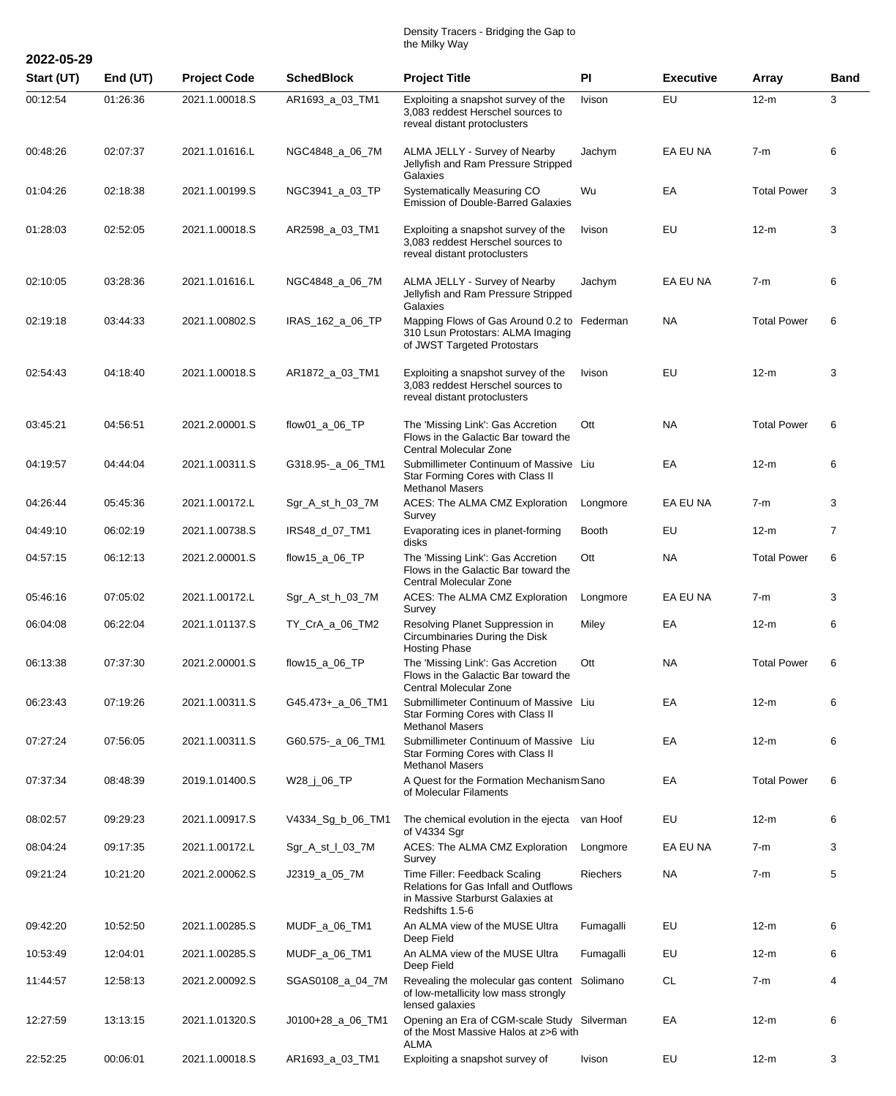## Density Tracers - Bridging the Gap to the Milky Way

| 2022-05-29 |          |                     |                   |                                                                                                                                      |              |                  |                    |                |
|------------|----------|---------------------|-------------------|--------------------------------------------------------------------------------------------------------------------------------------|--------------|------------------|--------------------|----------------|
| Start (UT) | End (UT) | <b>Project Code</b> | <b>SchedBlock</b> | <b>Project Title</b>                                                                                                                 | PI           | <b>Executive</b> | <b>Array</b>       | Band           |
| 00:12:54   | 01:26:36 | 2021.1.00018.S      | AR1693 a 03 TM1   | Exploiting a snapshot survey of the<br>3,083 reddest Herschel sources to<br>reveal distant protoclusters                             | Ivison       | EU               | $12-m$             | 3              |
| 00:48:26   | 02:07:37 | 2021.1.01616.L      | NGC4848_a_06_7M   | ALMA JELLY - Survey of Nearby<br>Jellyfish and Ram Pressure Stripped<br>Galaxies                                                     | Jachym       | EA EU NA         | $7-m$              | 6              |
| 01:04:26   | 02:18:38 | 2021.1.00199.S      | NGC3941 a 03 TP   | Systematically Measuring CO<br><b>Emission of Double-Barred Galaxies</b>                                                             | Wu           | EA               | <b>Total Power</b> | 3              |
| 01:28:03   | 02:52:05 | 2021.1.00018.S      | AR2598_a_03_TM1   | Exploiting a snapshot survey of the<br>3,083 reddest Herschel sources to<br>reveal distant protoclusters                             | Ivison       | EU               | $12-m$             | 3              |
| 02:10:05   | 03:28:36 | 2021.1.01616.L      | NGC4848_a_06_7M   | ALMA JELLY - Survey of Nearby<br>Jellyfish and Ram Pressure Stripped<br>Galaxies                                                     | Jachym       | EA EU NA         | $7-m$              | 6              |
| 02:19:18   | 03:44:33 | 2021.1.00802.S      | IRAS_162_a_06_TP  | Mapping Flows of Gas Around 0.2 to Federman<br>310 Lsun Protostars: ALMA Imaging<br>of JWST Targeted Protostars                      |              | <b>NA</b>        | <b>Total Power</b> | 6              |
| 02:54:43   | 04:18:40 | 2021.1.00018.S      | AR1872_a_03_TM1   | Exploiting a snapshot survey of the<br>3,083 reddest Herschel sources to<br>reveal distant protoclusters                             | Ivison       | EU               | $12-m$             | 3              |
| 03:45:21   | 04:56:51 | 2021.2.00001.S      | flow01_a_06_TP    | The 'Missing Link': Gas Accretion<br>Flows in the Galactic Bar toward the<br>Central Molecular Zone                                  | Ott          | <b>NA</b>        | <b>Total Power</b> | 6              |
| 04:19:57   | 04:44:04 | 2021.1.00311.S      | G318.95-_a_06_TM1 | Submillimeter Continuum of Massive Liu<br>Star Forming Cores with Class II<br><b>Methanol Masers</b>                                 |              | EA               | $12-m$             | 6              |
| 04:26:44   | 05:45:36 | 2021.1.00172.L      | Sgr_A_st_h_03_7M  | ACES: The ALMA CMZ Exploration<br>Survey                                                                                             | Longmore     | EA EU NA         | $7-m$              | 3              |
| 04:49:10   | 06:02:19 | 2021.1.00738.S      | IRS48_d_07_TM1    | Evaporating ices in planet-forming<br>disks                                                                                          | <b>Booth</b> | EU               | $12-m$             | $\overline{7}$ |
| 04:57:15   | 06:12:13 | 2021.2.00001.S      | flow15_a_06_TP    | The 'Missing Link': Gas Accretion<br>Flows in the Galactic Bar toward the<br><b>Central Molecular Zone</b>                           | Ott          | <b>NA</b>        | <b>Total Power</b> | 6              |
| 05:46:16   | 07:05:02 | 2021.1.00172.L      | Sgr_A_st_h_03_7M  | ACES: The ALMA CMZ Exploration<br>Survey                                                                                             | Longmore     | EA EU NA         | $7-m$              | 3              |
| 06:04:08   | 06:22:04 | 2021.1.01137.S      | TY_CrA_a_06_TM2   | Resolving Planet Suppression in<br>Circumbinaries During the Disk<br><b>Hosting Phase</b>                                            | Miley        | EA               | $12-m$             | 6              |
| 06:13:38   | 07:37:30 | 2021.2.00001.S      | flow15_a_06_TP    | The 'Missing Link': Gas Accretion<br>Flows in the Galactic Bar toward the<br>Central Molecular Zone                                  | Ott          | <b>NA</b>        | <b>Total Power</b> | 6              |
| 06:23:43   | 07:19:26 | 2021.1.00311.S      | G45.473+_a_06_TM1 | Submillimeter Continuum of Massive Liu<br>Star Forming Cores with Class II<br><b>Methanol Masers</b>                                 |              | EA               | $12-m$             | 6              |
| 07:27:24   | 07:56:05 | 2021.1.00311.S      | G60.575-_a_06_TM1 | Submillimeter Continuum of Massive Liu<br>Star Forming Cores with Class II<br><b>Methanol Masers</b>                                 |              | EA               | $12-m$             | 6              |
| 07:37:34   | 08:48:39 | 2019.1.01400.S      | W28_j_06_TP       | A Quest for the Formation Mechanism Sano<br>of Molecular Filaments                                                                   |              | EA               | <b>Total Power</b> | 6              |
| 08:02:57   | 09:29:23 | 2021.1.00917.S      | V4334_Sg_b_06_TM1 | The chemical evolution in the ejecta van Hoof<br>of V4334 Sgr                                                                        |              | EU               | $12-m$             | 6              |
| 08:04:24   | 09:17:35 | 2021.1.00172.L      | Sgr_A_st_I_03_7M  | ACES: The ALMA CMZ Exploration<br>Survey                                                                                             | Longmore     | EA EU NA         | $7-m$              | 3              |
| 09:21:24   | 10:21:20 | 2021.2.00062.S      | J2319_a_05_7M     | Time Filler: Feedback Scaling<br><b>Relations for Gas Infall and Outflows</b><br>in Massive Starburst Galaxies at<br>Redshifts 1.5-6 | Riechers     | NA               | $7-m$              | 5              |
| 09:42:20   | 10:52:50 | 2021.1.00285.S      | MUDF_a_06_TM1     | An ALMA view of the MUSE Ultra<br>Deep Field                                                                                         | Fumagalli    | EU               | $12-m$             | 6              |
| 10:53:49   | 12:04:01 | 2021.1.00285.S      | MUDF_a_06_TM1     | An ALMA view of the MUSE Ultra<br>Deep Field                                                                                         | Fumagalli    | EU               | $12-m$             | 6              |
| 11:44:57   | 12:58:13 | 2021.2.00092.S      | SGAS0108_a_04_7M  | Revealing the molecular gas content Solimano<br>of low-metallicity low mass strongly<br>lensed galaxies                              |              | <b>CL</b>        | $7-m$              | 4              |
| 12:27:59   | 13:13:15 | 2021.1.01320.S      | J0100+28_a_06_TM1 | Opening an Era of CGM-scale Study Silverman<br>of the Most Massive Halos at z>6 with<br>ALMA                                         |              | EA               | $12-m$             | 6              |
| 22:52:25   | 00:06:01 | 2021.1.00018.S      | AR1693_a_03_TM1   | Exploiting a snapshot survey of                                                                                                      | Ivison       | EU               | $12-m$             | 3              |